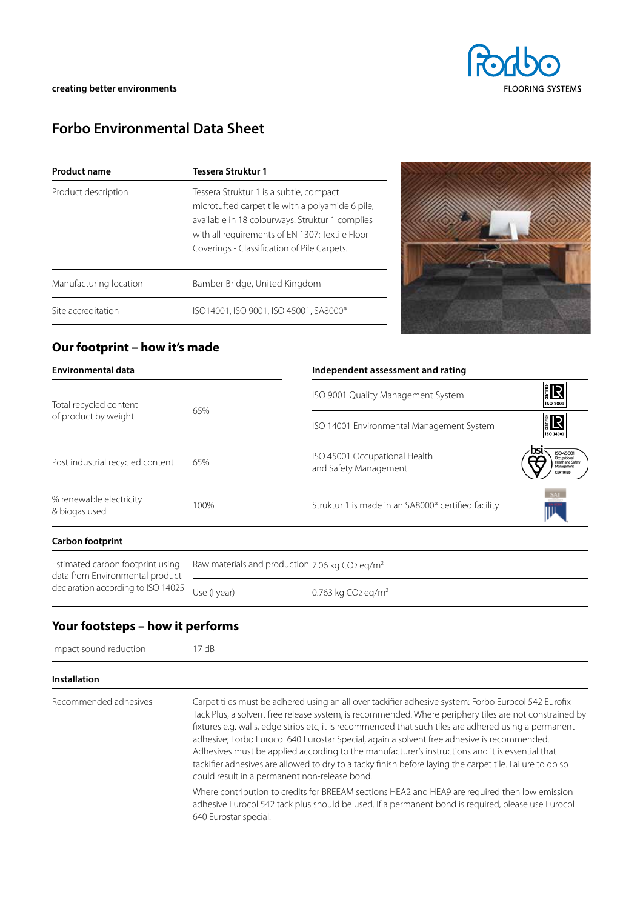# **Forbo Environmental Data Sheet**

| <b>Product name</b>    | Tessera Struktur 1                                                                                                                                                                                                                               |  |
|------------------------|--------------------------------------------------------------------------------------------------------------------------------------------------------------------------------------------------------------------------------------------------|--|
| Product description    | Tessera Struktur 1 is a subtle, compact<br>microtufted carpet tile with a polyamide 6 pile,<br>available in 18 colourways. Struktur 1 complies<br>with all requirements of EN 1307: Textile Floor<br>Coverings - Classification of Pile Carpets. |  |
| Manufacturing location | Bamber Bridge, United Kingdom                                                                                                                                                                                                                    |  |
| Site accreditation     | ISO14001, ISO 9001, ISO 45001, SA8000®                                                                                                                                                                                                           |  |



## **Our footprint – how it's made**

|              | Independent assessment and rating                               |                                                                                |
|--------------|-----------------------------------------------------------------|--------------------------------------------------------------------------------|
| 65%          | ISO 9001 Quality Management System                              | <b>ER</b><br><b>ISO 9001</b>                                                   |
|              | ISO 14001 Environmental Management System                       | E R<br>ISO 14001                                                               |
| 65%          | ISO 45001 Occupational Health<br>and Safety Management          | <b>ISO 4500</b><br>Docupational<br>Health and Safet<br>Management<br>CERTIFIED |
| 100%         | Struktur 1 is made in an SA8000 <sup>®</sup> certified facility |                                                                                |
|              |                                                                 |                                                                                |
|              |                                                                 |                                                                                |
| Use (I year) | 0.763 kg CO <sub>2</sub> eg/m <sup>2</sup>                      |                                                                                |
|              |                                                                 | Raw materials and production 7.06 kg CO2 eq/m <sup>2</sup>                     |

## **Your footsteps – how it performs**

| Impact sound reduction | $17 \text{ dB}$                                                                                                                                                                                                                                                                                                                                                                                                                                                                                                                                                                                                                                                                       |  |  |
|------------------------|---------------------------------------------------------------------------------------------------------------------------------------------------------------------------------------------------------------------------------------------------------------------------------------------------------------------------------------------------------------------------------------------------------------------------------------------------------------------------------------------------------------------------------------------------------------------------------------------------------------------------------------------------------------------------------------|--|--|
| <b>Installation</b>    |                                                                                                                                                                                                                                                                                                                                                                                                                                                                                                                                                                                                                                                                                       |  |  |
| Recommended adhesives  | Carpet tiles must be adhered using an all over tackifier adhesive system: Forbo Eurocol 542 Eurofix<br>Tack Plus, a solvent free release system, is recommended. Where periphery tiles are not constrained by<br>fixtures e.g. walls, edge strips etc, it is recommended that such tiles are adhered using a permanent<br>adhesive; Forbo Eurocol 640 Eurostar Special, again a solvent free adhesive is recommended.<br>Adhesives must be applied according to the manufacturer's instructions and it is essential that<br>tackifier adhesives are allowed to dry to a tacky finish before laying the carpet tile. Failure to do so<br>could result in a permanent non-release bond. |  |  |
|                        | Where contribution to credits for BREEAM sections HEA2 and HEA9 are required then low emission<br>adhesive Eurocol 542 tack plus should be used. If a permanent bond is required, please use Eurocol<br>640 Eurostar special.                                                                                                                                                                                                                                                                                                                                                                                                                                                         |  |  |